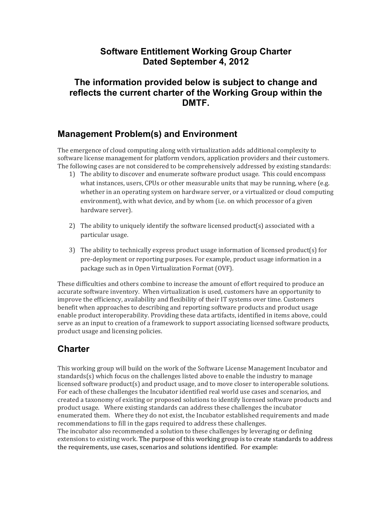### **Software Entitlement Working Group Charter Dated September 4, 2012**

### **The information provided below is subject to change and reflects the current charter of the Working Group within the DMTF.**

### **Management Problem(s) and Environment**

The emergence of cloud computing along with virtualization adds additional complexity to software license management for platform vendors, application providers and their customers. The following cases are not considered to be comprehensively addressed by existing standards:

- 1) The ability to discover and enumerate software product usage. This could encompass what instances, users, CPUs or other measurable units that may be running, where (e.g. whether in an operating system on hardware server, or a virtualized or cloud computing environment), with what device, and by whom (i.e. on which processor of a given hardware server).
- 2) The ability to uniquely identify the software licensed product(s) associated with a particular usage.
- 3) The ability to technically express product usage information of licensed product(s) for pre-deployment or reporting purposes. For example, product usage information in a package such as in Open Virtualization Format (OVF).

These difficulties and others combine to increase the amount of effort required to produce an accurate software inventory. When virtualization is used, customers have an opportunity to improve the efficiency, availability and flexibility of their IT systems over time. Customers benefit when approaches to describing and reporting software products and product usage enable product interoperability. Providing these data artifacts, identified in items above, could serve as an input to creation of a framework to support associating licensed software products, product usage and licensing policies.

## **Charter**

This working group will build on the work of the Software License Management Incubator and standards $(s)$  which focus on the challenges listed above to enable the industry to manage licensed software product(s) and product usage, and to move closer to interoperable solutions. For each of these challenges the Incubator identified real world use cases and scenarios, and created a taxonomy of existing or proposed solutions to identify licensed software products and product usage. Where existing standards can address these challenges the incubator enumerated them. Where they do not exist, the Incubator established requirements and made recommendations to fill in the gaps required to address these challenges. The incubator also recommended a solution to these challenges by leveraging or defining extensions to existing work. The purpose of this working group is to create standards to address the requirements, use cases, scenarios and solutions identified. For example: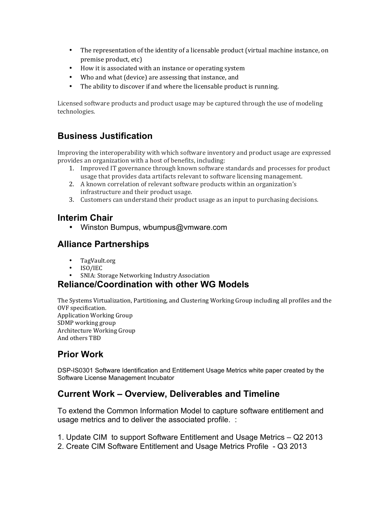- The representation of the identity of a licensable product (virtual machine instance, on premise product, etc)
- How it is associated with an instance or operating system
- Who and what (device) are assessing that instance, and
- The ability to discover if and where the licensable product is running.

Licensed software products and product usage may be captured through the use of modeling technologies.

## **Business Justification**

Improving the interoperability with which software inventory and product usage are expressed provides an organization with a host of benefits, including:

- 1. Improved IT governance through known software standards and processes for product usage that provides data artifacts relevant to software licensing management.
- 2. A known correlation of relevant software products within an organization's infrastructure and their product usage.
- 3. Customers can understand their product usage as an input to purchasing decisions.

## **Interim Chair**

• Winston Bumpus, wbumpus@vmware.com

## **Alliance Partnerships**

- TagVault.org
- ISO/IEC
- SNIA: Storage Networking Industry Association

## **Reliance/Coordination with other WG Models**

The Systems Virtualization, Partitioning, and Clustering Working Group including all profiles and the OVF specification. Application Working Group SDMP working group Architecture Working Group And others TBD

# **Prior Work**

DSP-IS0301 Software Identification and Entitlement Usage Metrics white paper created by the Software License Management Incubator

## **Current Work – Overview, Deliverables and Timeline**

To extend the Common Information Model to capture software entitlement and usage metrics and to deliver the associated profile. :

- 1. Update CIM to support Software Entitlement and Usage Metrics Q2 2013
- 2. Create CIM Software Entitlement and Usage Metrics Profile Q3 2013